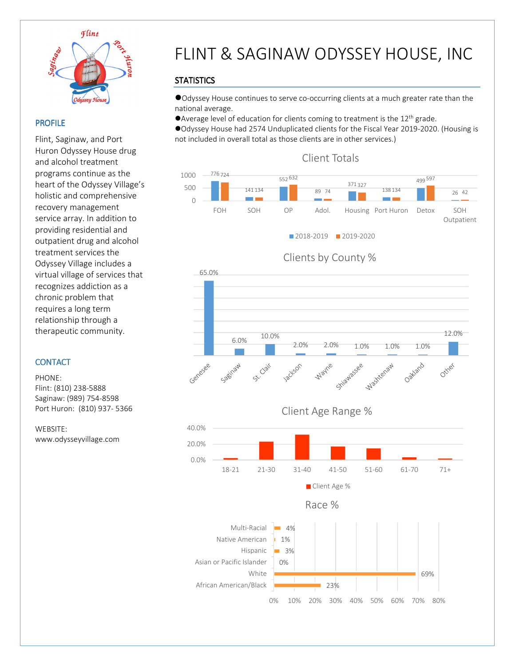

 $\overline{a}$ 

### PROFILE

Flint, Saginaw, and Port Huron Odyssey House drug and alcohol treatment programs continue as the heart of the Odyssey Village's holistic and comprehensive recovery management service array. In addition to providing residential and outpatient drug and alcohol treatment services the Odyssey Village includes a virtual village of services that recognizes addiction as a chronic problem that requires a long term relationship through a therapeutic community.

### **CONTACT**

PHONE: Flint: (810) 238-5888 Saginaw: (989) 754-8598 Port Huron: (810) 937- 5366

WEBSITE: www.odysseyvillage.com

# FLINT & SAGINAW ODYSSEY HOUSE, INC

## **STATISTICS**

Odyssey House continues to serve co-occurring clients at a much greater rate than the national average.

Average level of education for clients coming to treatment is the 12<sup>th</sup> grade.

Odyssey House had 2574 Unduplicated clients for the Fiscal Year 2019-2020. (Housing is not included in overall total as those clients are in other services.)